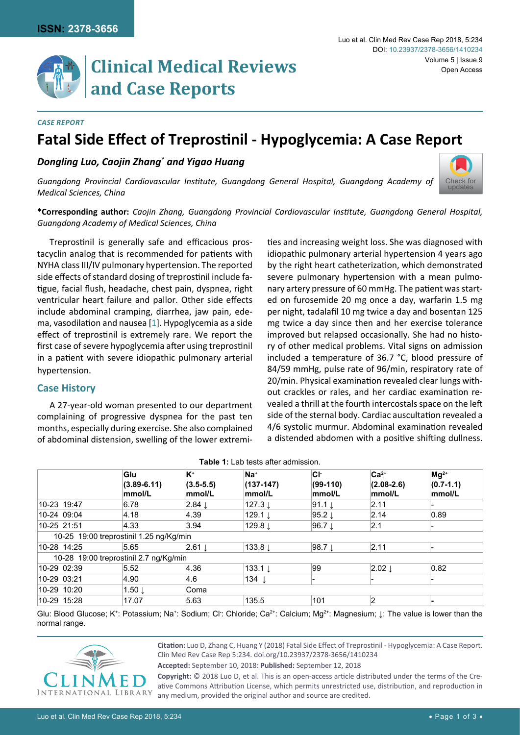# **and Case Reports**

#### *Case Report*

# **Fatal Side Effect of Treprostinil - Hypoglycemia: A Case Report**

# *Dongling Luo, Caojin Zhang\* and Yigao Huang*



*Guangdong Provincial Cardiovascular Institute, Guangdong General Hospital, Guangdong Academy of Medical Sciences, China*

**\*Corresponding author:** *Caojin Zhang, Guangdong Provincial Cardiovascular Institute, Guangdong General Hospital, Guangdong Academy of Medical Sciences, China*

Treprostinil is generally safe and efficacious prostacyclin analog that is recommended for patients with NYHA class III/IV pulmonary hypertension. The reported side effects of standard dosing of treprostinil include fatigue, facial flush, headache, chest pain, dyspnea, right ventricular heart failure and pallor. Other side effects include abdominal cramping, diarrhea, jaw pain, edema, vasodilation and nausea [[1](#page-2-0)]. Hypoglycemia as a side effect of treprostinil is extremely rare. We report the first case of severe hypoglycemia after using treprostinil in a patient with severe idiopathic pulmonary arterial hypertension.

# **Case History**

A 27-year-old woman presented to our department complaining of progressive dyspnea for the past ten months, especially during exercise. She also complained of abdominal distension, swelling of the lower extremities and increasing weight loss. She was diagnosed with idiopathic pulmonary arterial hypertension 4 years ago by the right heart catheterization, which demonstrated severe pulmonary hypertension with a mean pulmonary artery pressure of 60 mmHg. The patient was started on furosemide 20 mg once a day, warfarin 1.5 mg per night, tadalafil 10 mg twice a day and bosentan 125 mg twice a day since then and her exercise tolerance improved but relapsed occasionally. She had no history of other medical problems. Vital signs on admission included a temperature of 36.7 °C, blood pressure of 84/59 mmHg, pulse rate of 96/min, respiratory rate of 20/min. Physical examination revealed clear lungs without crackles or rales, and her cardiac examination revealed a thrill at the fourth intercostals space on the left side of the sternal body. Cardiac auscultation revealed a 4/6 systolic murmur. Abdominal examination revealed a distended abdomen with a positive shifting dullness.

|             | Glu<br>$(3.89 - 6.11)$<br>mmol/L        | K <sup>+</sup><br>$(3.5 - 5.5)$<br>mmol/L | $Na+$<br>$(137 - 147)$<br>mmol/L | Сŀ<br>$(99-110)$<br>mmol/L | $Ca2+$<br>$(2.08 - 2.6)$<br>mmol/L | $Mg^{2+}$<br>$(0.7 - 1.1)$<br>mmol/L |
|-------------|-----------------------------------------|-------------------------------------------|----------------------------------|----------------------------|------------------------------------|--------------------------------------|
| 10-23 19:47 | 6.78                                    | $2.84 \downarrow$                         | 127.3 ↓                          | $91.1 \perp$               | 2.11                               |                                      |
| 10-24 09:04 | 4.18                                    | 4.39                                      | 129.1 $\downarrow$               | 95.2 $\downarrow$          | 2.14                               | 0.89                                 |
| 10-25 21:51 | 4.33                                    | 3.94                                      | 129.8 ↓                          | $96.7 \perp$               | 2.1                                | $\overline{\phantom{0}}$             |
|             | 10-25 19:00 treprostinil 1.25 ng/Kg/min |                                           |                                  |                            |                                    |                                      |
| 10-28 14:25 | 5.65                                    | $2.61 \downarrow$                         | 133.8 $\downarrow$               | $98.7 \perp$               | 2.11                               |                                      |
|             | 10-28 19:00 treprostinil 2.7 ng/Kg/min  |                                           |                                  |                            |                                    |                                      |
| 10-29 02:39 | 5.52                                    | 4.36                                      | 133.1 $\downarrow$               | 99                         | $2.02 \downarrow$                  | 0.82                                 |
| 10-29 03:21 | 4.90                                    | 4.6                                       | 134 $\downarrow$                 | -                          | $\overline{\phantom{a}}$           | $\overline{\phantom{0}}$             |
| 10-29 10:20 | $1.50 \downarrow$                       | Coma                                      |                                  |                            |                                    |                                      |
| 10-29 15:28 | 17.07                                   | 5.63                                      | 135.5                            | 101                        | $\overline{2}$                     | -                                    |

<span id="page-0-0"></span>**Table 1:** Lab tests after admission.

Glu: Blood Glucose; K<sup>+</sup>: Potassium; Na<sup>+</sup>: Sodium; Cl<sup>.</sup>: Chloride; Ca<sup>2+</sup>: Calcium; Mg<sup>2+</sup>: Magnesium; ↓: The value is lower than the normal range.

> **Citation:** Luo D, Zhang C, Huang Y (2018) Fatal Side Effect of Treprostinil - Hypoglycemia: A Case Report. Clin Med Rev Case Rep 5:234. [doi.org/10.23937/2378-3656/1410234](https://doi.org/10.23937/2378-3656/1410234)

**Accepted:** September 10, 2018: **Published:** September 12, 2018

**Copyright:** © 2018 Luo D, et al. This is an open-access article distributed under the terms of the Creative Commons Attribution License, which permits unrestricted use, distribution, and reproduction in any medium, provided the original author and source are credited.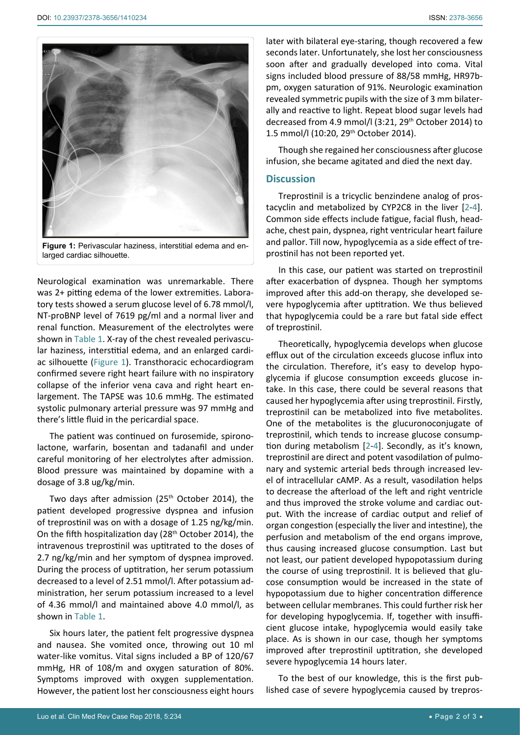<span id="page-1-0"></span>

**Figure 1:** Perivascular haziness, interstitial edema and enlarged cardiac silhouette.

Neurological examination was unremarkable. There was 2+ pitting edema of the lower extremities. Laboratory tests showed a serum glucose level of 6.78 mmol/l, NT-proBNP level of 7619 pg/ml and a normal liver and renal function. Measurement of the electrolytes were shown in [Table 1.](#page-0-0) X-ray of the chest revealed perivascular haziness, interstitial edema, and an enlarged cardiac silhouette [\(Figure 1](#page-1-0)). Transthoracic echocardiogram confirmed severe right heart failure with no inspiratory collapse of the inferior vena cava and right heart enlargement. The TAPSE was 10.6 mmHg. The estimated systolic pulmonary arterial pressure was 97 mmHg and there's little fluid in the pericardial space.

The patient was continued on furosemide, spironolactone, warfarin, bosentan and tadanafil and under careful monitoring of her electrolytes after admission. Blood pressure was maintained by dopamine with a dosage of 3.8 ug/kg/min.

Two days after admission ( $25<sup>th</sup>$  October 2014), the patient developed progressive dyspnea and infusion of treprostinil was on with a dosage of 1.25 ng/kg/min. On the fifth hospitalization day (28<sup>th</sup> October 2014), the intravenous treprostinil was uptitrated to the doses of 2.7 ng/kg/min and her symptom of dyspnea improved. During the process of uptitration, her serum potassium decreased to a level of 2.51 mmol/l. After potassium administration, her serum potassium increased to a level of 4.36 mmol/l and maintained above 4.0 mmol/l, as shown in [Table 1.](#page-0-0)

Six hours later, the patient felt progressive dyspnea and nausea. She vomited once, throwing out 10 ml water-like vomitus. Vital signs included a BP of 120/67 mmHg, HR of 108/m and oxygen saturation of 80%. Symptoms improved with oxygen supplementation. However, the patient lost her consciousness eight hours later with bilateral eye-staring, though recovered a few seconds later. Unfortunately, she lost her consciousness soon after and gradually developed into coma. Vital signs included blood pressure of 88/58 mmHg, HR97bpm, oxygen saturation of 91%. Neurologic examination revealed symmetric pupils with the size of 3 mm bilaterally and reactive to light. Repeat blood sugar levels had decreased from 4.9 mmol/l (3:21, 29<sup>th</sup> October 2014) to 1.5 mmol/l (10:20, 29th October 2014).

Though she regained her consciousness after glucose infusion, she became agitated and died the next day.

## **Discussion**

Treprostinil is a tricyclic benzindene analog of prostacyclin and metabolized by CYP2C8 in the liver [[2](#page-2-1)[-4\]](#page-2-2). Common side effects include fatigue, facial flush, headache, chest pain, dyspnea, right ventricular heart failure and pallor. Till now, hypoglycemia as a side effect of treprostinil has not been reported yet.

In this case, our patient was started on treprostinil after exacerbation of dyspnea. Though her symptoms improved after this add-on therapy, she developed severe hypoglycemia after uptitration. We thus believed that hypoglycemia could be a rare but fatal side effect of treprostinil.

Theoretically, hypoglycemia develops when glucose efflux out of the circulation exceeds glucose influx into the circulation. Therefore, it's easy to develop hypoglycemia if glucose consumption exceeds glucose intake. In this case, there could be several reasons that caused her hypoglycemia after using treprostinil. Firstly, treprostinil can be metabolized into five metabolites. One of the metabolites is the glucuronoconjugate of treprostinil, which tends to increase glucose consumption during metabolism [[2](#page-2-1)-[4](#page-2-2)]. Secondly, as it's known, treprostinil are direct and potent vasodilation of pulmonary and systemic arterial beds through increased level of intracellular cAMP. As a result, vasodilation helps to decrease the afterload of the left and right ventricle and thus improved the stroke volume and cardiac output. With the increase of cardiac output and relief of organ congestion (especially the liver and intestine), the perfusion and metabolism of the end organs improve, thus causing increased glucose consumption. Last but not least, our patient developed hypopotassium during the course of using treprostinil. It is believed that glucose consumption would be increased in the state of hypopotassium due to higher concentration difference between cellular membranes. This could further risk her for developing hypoglycemia. If, together with insufficient glucose intake, hypoglycemia would easily take place. As is shown in our case, though her symptoms improved after treprostinil uptitration, she developed severe hypoglycemia 14 hours later.

To the best of our knowledge, this is the first published case of severe hypoglycemia caused by trepros